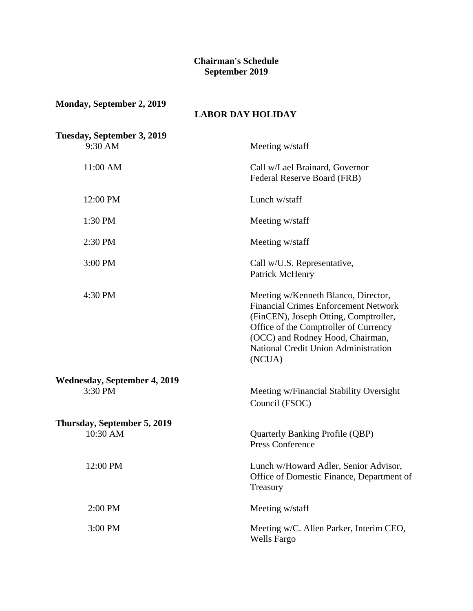## **Chairman's Schedule September 2019**

| Monday, September 2, 2019                 | <b>LABOR DAY HOLIDAY</b>                                                                                                                                                                                                                                   |
|-------------------------------------------|------------------------------------------------------------------------------------------------------------------------------------------------------------------------------------------------------------------------------------------------------------|
| Tuesday, September 3, 2019<br>9:30 AM     | Meeting w/staff                                                                                                                                                                                                                                            |
| 11:00 AM                                  | Call w/Lael Brainard, Governor<br>Federal Reserve Board (FRB)                                                                                                                                                                                              |
| 12:00 PM                                  | Lunch w/staff                                                                                                                                                                                                                                              |
| 1:30 PM                                   | Meeting w/staff                                                                                                                                                                                                                                            |
| 2:30 PM                                   | Meeting w/staff                                                                                                                                                                                                                                            |
| 3:00 PM                                   | Call w/U.S. Representative,<br>Patrick McHenry                                                                                                                                                                                                             |
| 4:30 PM                                   | Meeting w/Kenneth Blanco, Director,<br><b>Financial Crimes Enforcement Network</b><br>(FinCEN), Joseph Otting, Comptroller,<br>Office of the Comptroller of Currency<br>(OCC) and Rodney Hood, Chairman,<br>National Credit Union Administration<br>(NCUA) |
| <b>Wednesday, September 4, 2019</b>       |                                                                                                                                                                                                                                                            |
| 3:30 PM                                   | Meeting w/Financial Stability Oversight<br>Council (FSOC)                                                                                                                                                                                                  |
| Thursday, September 5, 2019<br>$10:30$ AM | <b>Quarterly Banking Profile (QBP)</b><br><b>Press Conference</b>                                                                                                                                                                                          |
| 12:00 PM                                  | Lunch w/Howard Adler, Senior Advisor,<br>Office of Domestic Finance, Department of<br>Treasury                                                                                                                                                             |
| 2:00 PM                                   | Meeting w/staff                                                                                                                                                                                                                                            |
| 3:00 PM                                   | Meeting w/C. Allen Parker, Interim CEO,<br><b>Wells Fargo</b>                                                                                                                                                                                              |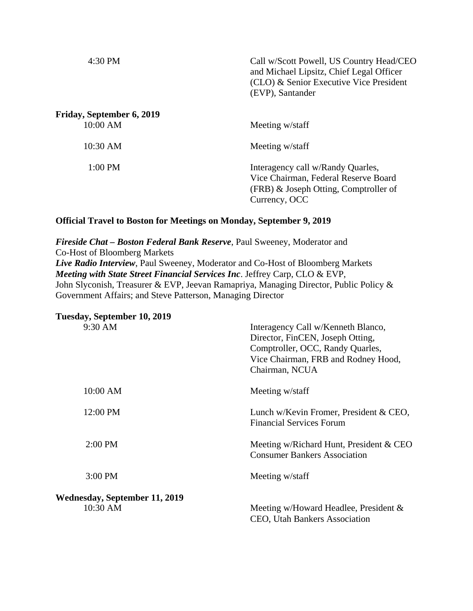| 4:30 PM                   | Call w/Scott Powell, US Country Head/CEO<br>and Michael Lipsitz, Chief Legal Officer<br>(CLO) & Senior Executive Vice President<br>(EVP), Santander |
|---------------------------|-----------------------------------------------------------------------------------------------------------------------------------------------------|
| Friday, September 6, 2019 |                                                                                                                                                     |
| 10:00 AM                  | Meeting w/staff                                                                                                                                     |
| 10:30 AM                  | Meeting w/staff                                                                                                                                     |
| 1:00 PM                   | Interagency call w/Randy Quarles,<br>Vice Chairman, Federal Reserve Board<br>(FRB) & Joseph Otting, Comptroller of<br>Currency, OCC                 |

## **Official Travel to Boston for Meetings on Monday, September 9, 2019**

*Fireside Chat – Boston Federal Bank Reserve*, Paul Sweeney, Moderator and Co-Host of Bloomberg Markets *Live Radio Interview*, Paul Sweeney, Moderator and Co-Host of Bloomberg Markets *Meeting with State Street Financial Services Inc*. Jeffrey Carp, CLO & EVP, John Slyconish, Treasurer & EVP, Jeevan Ramapriya, Managing Director, Public Policy & Government Affairs; and Steve Patterson, Managing Director

| Tuesday, September 10, 2019          |                                                                                                                                                                     |
|--------------------------------------|---------------------------------------------------------------------------------------------------------------------------------------------------------------------|
| 9:30 AM                              | Interagency Call w/Kenneth Blanco,<br>Director, FinCEN, Joseph Otting,<br>Comptroller, OCC, Randy Quarles,<br>Vice Chairman, FRB and Rodney Hood,<br>Chairman, NCUA |
| 10:00 AM                             | Meeting w/staff                                                                                                                                                     |
| 12:00 PM                             | Lunch w/Kevin Fromer, President & CEO,<br><b>Financial Services Forum</b>                                                                                           |
| $2:00$ PM                            | Meeting w/Richard Hunt, President & CEO<br><b>Consumer Bankers Association</b>                                                                                      |
| $3:00$ PM                            | Meeting w/staff                                                                                                                                                     |
| <b>Wednesday, September 11, 2019</b> |                                                                                                                                                                     |
| 10:30 AM                             | Meeting w/Howard Headlee, President $\&$<br>CEO, Utah Bankers Association                                                                                           |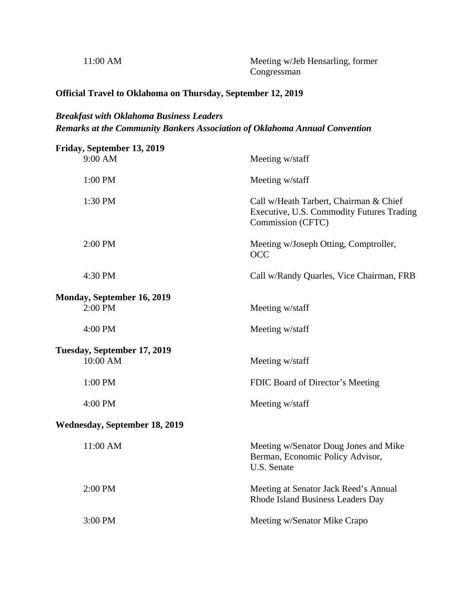| $11:00$ AM | Meeting w/Jeb Hensarling, former |
|------------|----------------------------------|
|            | Congressman                      |

## **Official Travel to Oklahoma on Thursday, September 12, 2019**

## *Breakfast with Oklahoma Business Leaders Remarks at the Community Bankers Association of Oklahoma Annual Convention*

| Friday, September 13, 2019           |                                                                                                          |
|--------------------------------------|----------------------------------------------------------------------------------------------------------|
| 9:00 AM                              | Meeting w/staff                                                                                          |
| 1:00 PM                              | Meeting w/staff                                                                                          |
| 1:30 PM                              | Call w/Heath Tarbert, Chairman & Chief<br>Executive, U.S. Commodity Futures Trading<br>Commission (CFTC) |
| $2:00$ PM                            | Meeting w/Joseph Otting, Comptroller,<br><b>OCC</b>                                                      |
| 4:30 PM                              | Call w/Randy Quarles, Vice Chairman, FRB                                                                 |
| Monday, September 16, 2019           |                                                                                                          |
| 2:00 PM                              | Meeting w/staff                                                                                          |
| 4:00 PM                              | Meeting w/staff                                                                                          |
| Tuesday, September 17, 2019          |                                                                                                          |
| 10:00 AM                             | Meeting w/staff                                                                                          |
| 1:00 PM                              | FDIC Board of Director's Meeting                                                                         |
| 4:00 PM                              | Meeting w/staff                                                                                          |
| <b>Wednesday, September 18, 2019</b> |                                                                                                          |
| 11:00 AM                             | Meeting w/Senator Doug Jones and Mike<br>Berman, Economic Policy Advisor,<br>U.S. Senate                 |
| 2:00 PM                              | Meeting at Senator Jack Reed's Annual<br>Rhode Island Business Leaders Day                               |
| 3:00 PM                              | Meeting w/Senator Mike Crapo                                                                             |
|                                      |                                                                                                          |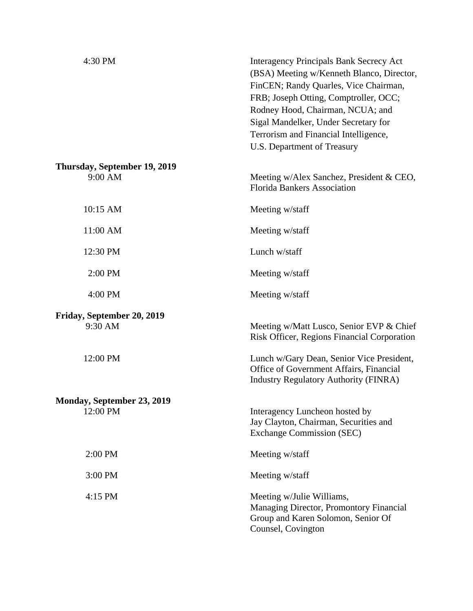| 4:30 PM                                 | <b>Interagency Principals Bank Secrecy Act</b><br>(BSA) Meeting w/Kenneth Blanco, Director,<br>FinCEN; Randy Quarles, Vice Chairman,<br>FRB; Joseph Otting, Comptroller, OCC;<br>Rodney Hood, Chairman, NCUA; and<br>Sigal Mandelker, Under Secretary for<br>Terrorism and Financial Intelligence,<br>U.S. Department of Treasury |
|-----------------------------------------|-----------------------------------------------------------------------------------------------------------------------------------------------------------------------------------------------------------------------------------------------------------------------------------------------------------------------------------|
| Thursday, September 19, 2019<br>9:00 AM | Meeting w/Alex Sanchez, President & CEO,<br><b>Florida Bankers Association</b>                                                                                                                                                                                                                                                    |
| 10:15 AM                                | Meeting w/staff                                                                                                                                                                                                                                                                                                                   |
| 11:00 AM                                | Meeting w/staff                                                                                                                                                                                                                                                                                                                   |
| 12:30 PM                                | Lunch w/staff                                                                                                                                                                                                                                                                                                                     |
| 2:00 PM                                 | Meeting w/staff                                                                                                                                                                                                                                                                                                                   |
| 4:00 PM                                 | Meeting w/staff                                                                                                                                                                                                                                                                                                                   |
| Friday, September 20, 2019<br>9:30 AM   | Meeting w/Matt Lusco, Senior EVP & Chief<br>Risk Officer, Regions Financial Corporation                                                                                                                                                                                                                                           |
| 12:00 PM                                | Lunch w/Gary Dean, Senior Vice President,<br>Office of Government Affairs, Financial<br><b>Industry Regulatory Authority (FINRA)</b>                                                                                                                                                                                              |
| Monday, September 23, 2019              |                                                                                                                                                                                                                                                                                                                                   |
| 12:00 PM                                | Interagency Luncheon hosted by<br>Jay Clayton, Chairman, Securities and<br><b>Exchange Commission (SEC)</b>                                                                                                                                                                                                                       |
| 2:00 PM                                 | Meeting w/staff                                                                                                                                                                                                                                                                                                                   |
| 3:00 PM                                 | Meeting w/staff                                                                                                                                                                                                                                                                                                                   |
| 4:15 PM                                 | Meeting w/Julie Williams,<br>Managing Director, Promontory Financial<br>Group and Karen Solomon, Senior Of<br>Counsel, Covington                                                                                                                                                                                                  |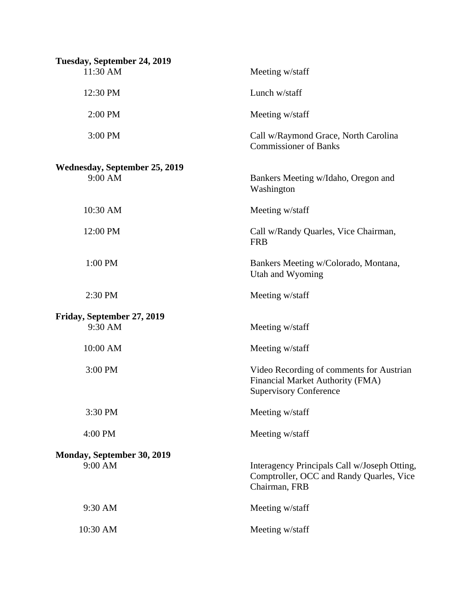| Tuesday, September 24, 2019                       |                                                                                                               |
|---------------------------------------------------|---------------------------------------------------------------------------------------------------------------|
| 11:30 AM                                          | Meeting w/staff                                                                                               |
| 12:30 PM                                          | Lunch w/staff                                                                                                 |
| 2:00 PM                                           | Meeting w/staff                                                                                               |
| 3:00 PM                                           | Call w/Raymond Grace, North Carolina<br><b>Commissioner of Banks</b>                                          |
| <b>Wednesday, September 25, 2019</b><br>$9:00$ AM | Bankers Meeting w/Idaho, Oregon and<br>Washington                                                             |
| 10:30 AM                                          | Meeting w/staff                                                                                               |
| 12:00 PM                                          | Call w/Randy Quarles, Vice Chairman,<br><b>FRB</b>                                                            |
| 1:00 PM                                           | Bankers Meeting w/Colorado, Montana,<br>Utah and Wyoming                                                      |
| 2:30 PM                                           | Meeting w/staff                                                                                               |
| Friday, September 27, 2019<br>9:30 AM             | Meeting w/staff                                                                                               |
| 10:00 AM                                          | Meeting w/staff                                                                                               |
| 3:00 PM                                           | Video Recording of comments for Austrian<br>Financial Market Authority (FMA)<br><b>Supervisory Conference</b> |
| 3:30 PM                                           | Meeting w/staff                                                                                               |
| 4:00 PM                                           | Meeting w/staff                                                                                               |
| Monday, September 30, 2019<br>9:00 AM             | Interagency Principals Call w/Joseph Otting,<br>Comptroller, OCC and Randy Quarles, Vice<br>Chairman, FRB     |
| 9:30 AM                                           | Meeting w/staff                                                                                               |
| 10:30 AM                                          | Meeting w/staff                                                                                               |